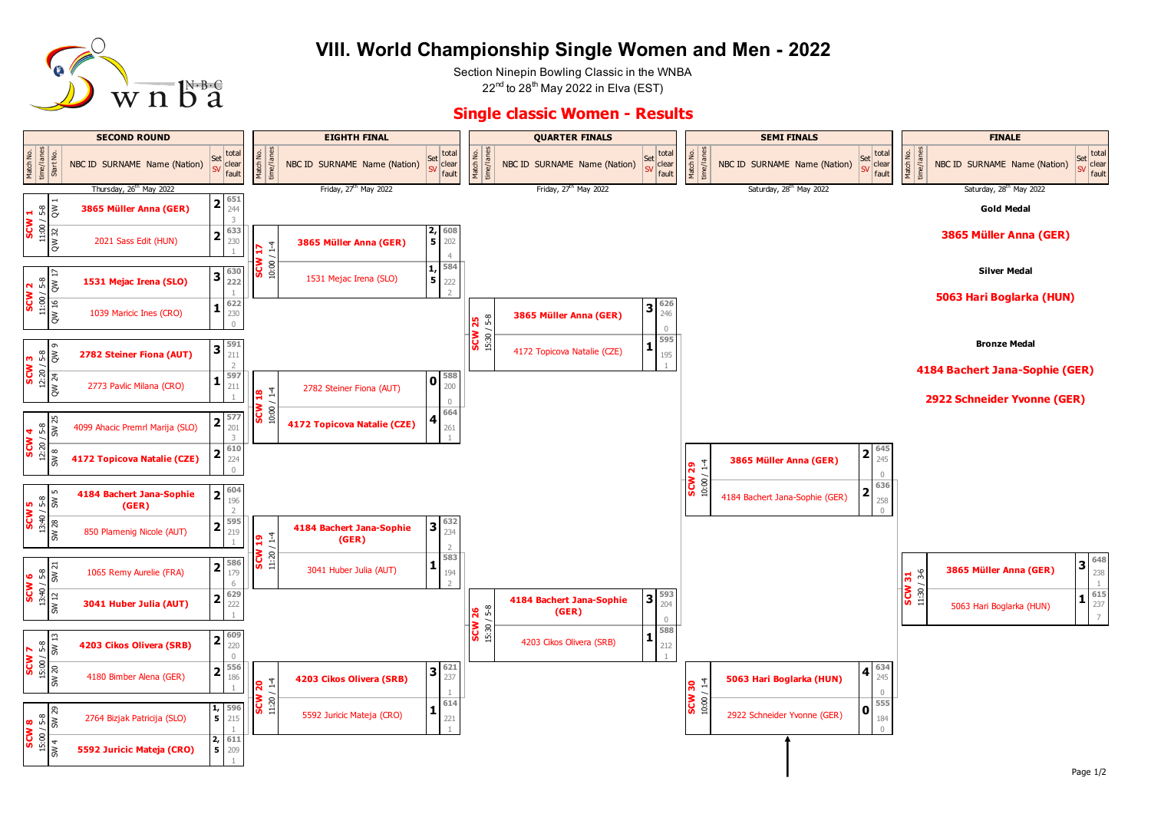

## **VIII. World Championship Single Women and Men - 2022**

Section Ninepin Bowling Classic in the WNBA  $22<sup>nd</sup>$  to 28<sup>th</sup> May 2022 in Elva (EST)

## **Single classic Women - Results**